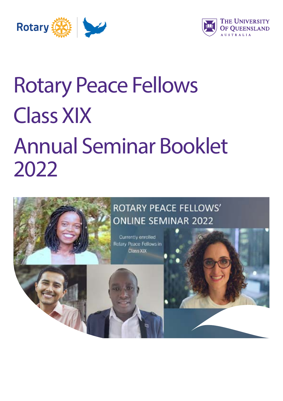



# Rotary Peace Fellows Class XIX Annual Seminar Booklet 2022

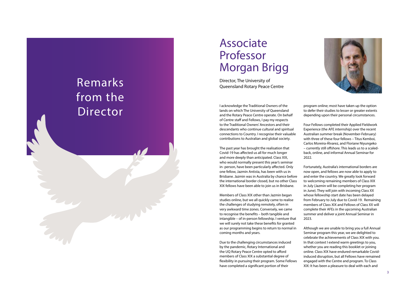### Associate Professor Morgan Brigg

Director, The University of Queensland Rotary Peace Centre

I acknowledge the Traditional Owners of the lands on which The University of Queensland and the Rotary Peace Centre operate. On behalf of Centre staff and Fellows, I pay my respects to the Traditional Owners' Ancestors and their descendants who continue cultural and spiritual connections to Country. I recognise their valuable contributions to Australian and global society.

The past year has brought the realisation that Covid-19 has affected us all for much longer and more deeply than anticipated. Class XIX, who would normally present this year's seminar in- person, have been particularly affected. Only one fellow, Jazmin Antista, has been with us in Brisbane. Jazmin was in Australia by chance before the international border closed, but no other Class XIX fellows have been able to join us in Brisbane.

Members of Class XIX other than Jazmin began studies online, but we all quickly came to realise the challenges of studying remotely, often in very awkward time zones. Conversely, we came to recognise the benefits – both tangible and intangible – of in-person fellowship. I venture that we will surely not take these benefits for granted as our programming begins to return to normal in coming months and years.

Due to the challenging circumstances induced by the pandemic, Rotary International and the UQ Rotary Peace Centre opted to afford members of Class XIX a substantial degree of flexibility in pursuing their program. Some Fellows have completed a significant portion of their



program online; most have taken up the option to defer their studies to lesser or greater extents depending upon their personal circumstances.

Four Fellows completed their Applied Fieldwork Experience (the AFE internship) over the recent Australian summer break (November-February) with three of these four fellows – Titus Kemboi, Carlos Moreira-Álvarez, and Floriane Niyungeko – currently still offshore. This leads us to a scaledback, online, and informal Annual Seminar for 2022.

Fortunately, Australia's international borders are now open, and fellows are now able to apply to and enter the country. We greatly look forward to welcoming remaining members of Class XIX in July (Jazmin will be completing her program in June). They will join with incoming Class XX whose fellowship start date has been delayed from February to July due to Covid-19. Remaining members of Class XIX and Fellows of Class XX will complete their AFEs in the upcoming Australian summer and deliver a joint Annual Seminar in 2023.

Although we are unable to bring you a full Annual Seminar program this year, we are delighted to celebrate the achievements of Class XIX with you. In that context I extend warm greetings to you, whether you are reading this booklet or joining online. Class XIX have endured remarkable Covidinduced disruption, but all Fellows have remained engaged with the Centre and program. To Class XIX: It has been a pleasure to deal with each and

### Remarks from the Director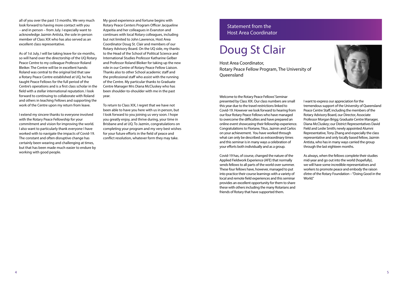My good experience and fortune begins with Rotary Peace Centers Program Officer Jacqueline Azpeitia and her colleagues in Evanston and continues with local Rotary colleagues, including but not limited to John Lawrence, Host Area Coordinator Doug St. Clair and members of our Rotary Advisory Board. On the UQ side, my thanks to the Head of the School of Political Science and International Studies Professor Katharine Gelber and Professor Roland Bleiker for taking up the new role in our Centre of Rotary Peace Fellow Liaison. Thanks also to other School academic staff and the professional staff who assist with the running of the Centre. My particular thanks to Graduate Centre Manager Mrs Diana McCluskey who has been shoulder-to-shoulder with me in the past year.

To return to Class XIX, I regret that we have not been able to have you here with us in person, but I look forward to you joining us very soon. I hope you greatly enjoy, and thrive during, your time in Brisbane and at UQ. To Jazmin, congratulations on completing your program and my very best wishes for your future efforts in the field of peace and conflict resolution, whatever form they may take.

Welcome to the Rotary Peace Fellows' Seminar presented by Class XIX. Our class numbers are small this year due to the travel restrictions linked to Covid-19. However we look forward to hearing from our four Rotary Peace Fellows who have managed to overcome the difficulties and have prepared an online event showcasing their fellowship experience. Congratulations to Floriane, Titus, Jazmin and Carlos on your achievement. You have worked through what can only be described as extraordinary times and this seminar is in many ways a celebration of your efforts both individually and as a group.

Host Area Coordinator, Rotary Peace Fellow Program, The University of **Oueensland** 

Covid-19 has, of course, changed the nature of the Applied Fieldwork Experience (AFE) that normally sends fellows to all parts of the world over summer. These four fellows have, however, managed to put into practice their course learnings with a variety of local and remote field experiences and this seminar provides an excellent opportunity for them to share these with others including the many Rotarians and friends of Rotary that have supported them.



I want to express our appreciation for the tremendous support of the University of Queensland Peace Centre Staff, including the members of the Rotary Advisory Board, our Director, Associate Professor Morgan Brigg; Graduate Centre Manager, Diana McCluskey; our District Representatives David Field and Leslie Smith; newly appointed Alumni Representative, Tony Zhang and especially the class representative and only locally based fellow, Jazmin Antista, who has in many ways carried the group through the last eighteen months.

As always, when the fellows complete their studies mid-year and go out into the world (hopefully), we will have some incredible representatives and workers to promote peace and embody the raison d'etre of the Rotary Foundation – "Doing Good in the World."

### Statement from the Host Area Coordinator

### Doug St Clair

all of you over the past 13 months. We very much look forward to having more contact with you – and in person – from July. I especially want to acknowledge Jazmin Antista, the sole in-person member of Class XIX who has also served as an excellent class representative.

As of 1st July, I will be taking leave for six-months, so will hand over the directorship of the UQ Rotary Peace Centre to my colleague Professor Roland Bleiker. The Centre will be in excellent hands: Roland was central to the original bid that saw a Rotary Peace Centre established at UQ, he has taught Peace Fellows for the full period of the Centre's operations and is a first class scholar in the field with a stellar international reputation. I look forward to continuing to collaborate with Roland and others in teaching Fellows and supporting the work of the Centre upon my return from leave.

I extend my sincere thanks to everyone involved with the Rotary Peace Fellowship for your commitment and vision for improving the world. I also want to particularly thank everyone I have worked with to navigate the impacts of Covid-19. The constant and often disruptive change has certainly been wearing and challenging at times, but that has been made much easier to endure by working with good people.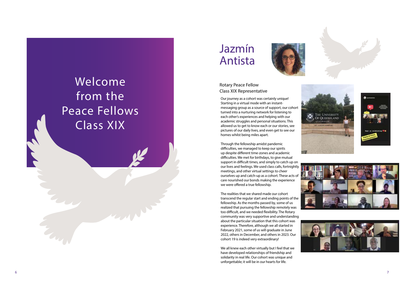







### Welcome from the Peace Fellows Class XIX

Our journey as a cohort was certainly unique! Starting in a virtual mode with an instantmessaging group as a source of support, our cohort turned into a nurturing network for listening to each other's experiences and helping with our academic struggles and personal situations. This allowed us to get to know each or our stories, see pictures of our daily lives, and even get to see our homes whilst being miles apart.

Through the fellowship amidst pandemic difficulties, we managed to keep our spirits up despite different time-zones and academic difficulties. We met for birthdays, to give mutual support in difficult times, and simply to catch up on our lives and feelings. We used class calls, fortnightly meetings, and other virtual settings to cheer ourselves up and catch-up as a cohort. These acts of care nourished our bonds making the experience we were offered a true fellowship.

The realities that we shared made our cohort transcend the regular start and ending points of the fellowship. As the months passed by, some of us realized that pursuing the fellowship remotely was too difficult, and we needed flexibility. The Rotary community was very supportive and understanding about the particular situation that this cohort was experience. Therefore, although we all started in February 2021, some of us will graduate in June 2022, others in December, and others in 2023. Our cohort 19 is indeed very extraordinary!

We all knew each other virtually but I feel that we have developed relationships of friendship and solidarity in real life. Our cohort was unique and unforgettable; it will be in our hearts for life.

### Rotary Peace Fellow Class XIX Representative

### Jazmín Antista

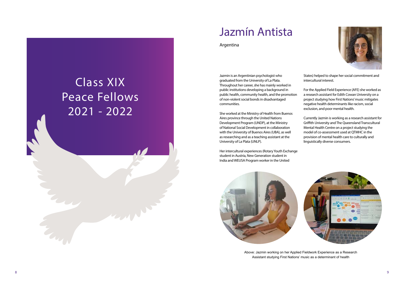

### Class XIX Peace Fellows 2021 - 2022

### Jazmín Antista

Argentina

Jazmin is an Argentinian psychologist who graduated from the University of La Plata. Throughout her career, she has mainly worked in public institutions developing a background in public health, community health, and the promotion of non-violent social bonds in disadvantaged communities.

She worked at the Ministry of Health from Buenos Aires province through the United Nations Development Program (UNDP), at the Ministry of National Social Development in collaboration with the University of Buenos Aires (UBA), as well as researching and as a teaching assistant at the University of La Plata (UNLP).

Her intercultural experiences (Rotary Youth Exchange student in Austria, New Generation student in India and WEUSA Program worker in the United



States) helped to shape her social commitment and intercultural interest.

For the Applied Field Experience (AFE) she worked as a research assistant for Edith Cowan University on a project studying how First Nations' music mitigates negative health determinants like racism, social exclusion, and poor mental health.

Currently Jazmin is working as a research assistant for Griffith University and The Queensland Transcultural Mental Health Centre on a project studying the model of co-assessment used at QTMHC in the provision of mental health care to culturally and linguistically diverse consumers.



Above: Jazmin working on her Applied Fieldwork Experience as a Research Assistant studying First Nations' music as a determinant of health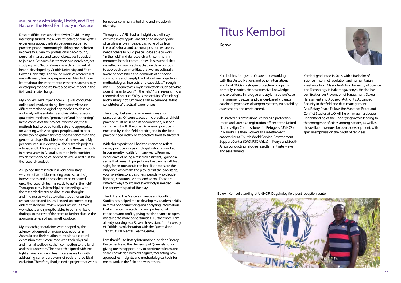

#### My Journey with Music, Health, and First Nations: The Need for Theory in Practice

Despite difficulties associated with Covid-19, my internship turned into a very reflective and insightful experience about the links between academic practice, peace, community building and inclusion in diversity. Given my professional background, personal interest, and career objectives I decided to join as a Research Assistant on a research project studying First Nations' music as a determinant of health, developed by Griffith University and Edith Cowan University. The online mode of research left me with many learning experiences. Mainly, I have learnt about the important role that researchers play developing theories to have a positive impact in the field and create change.

My Applied Field Experience (AFE) was conducted online and involved doing literature reviews on different methodological approaches to observe and analyse the suitability and viability of specific qualitative methods: "photovoice" and "podcasting". In the context of the project I worked on, those methods had to be culturally safe and appropriate for working with Aboriginal peoples, and to be a useful tool to gather significant data concerning the general and specific objectives of the research. My job consisted in reviewing all the research projects, articles, and bibliography written on these methods in recent years in Australia, to then help consider which methodological approach would best suit for the research project.

As I joined the research in a very early stage, I was part of a decision-making process to design interventions and approaches to be executed once the research team is ready to go "in the field". Throughout my internship, I had meetings with the research director to discuss our thoughts and findings as well as to reflect together on the research topic and issues. I ended up constructing different literature review reports as well as excel worksheets and synoptic tables to communicate findings to the rest of the team to further discuss the appropriateness of each methodology.

My research general aims were shaped by the acknowledgement of Indigenous peoples in Australia and their relation to music as a cultural expression that is correlated with their physical and mental wellbeing, their connection to the land and their ancestors. The research aligned with the fight against racism in health care as well as with addressing current problems of social and political exclusion. Therefore, I had joined a project that works for peace, community building and inclusion in diversity.

Through the AFE I had an insight that will stay with me in every job I am called to do: every one of us plays a role in peace. Each one of us, from the professional and personal position we are in, needs others to build peace. To be able to work "in the field" and do research with community members in their communities, it is essential that we reflect on our practice, that we develop tools to approach communities, that we are culturally aware of necessities and demands of a specific community and deeply think about our objectives, methodologies, interests, and capacities. Through my AFE I began to ask myself questions such as: what does it mean to work "in the field"? Isn't researching a theoretical practice? Why is the activity of "thinking" and "writing" not sufficient as an experience? What constitutes a "practical" experience?

Therefore, I believe that academics are also practitioners. Of course, academic practice and field practice must be in constant correlation, but one cannot exist with the other. Academic practice is nurtured by in-the-field practice, and in-the-field practice needs reflexive theoretical tools to succeed.

With this experience, I had the chance to reflect on my practice as a psychologist who has worked in community health for many years. From my experience of being a research assistant, I gained a sense that research projects are like theatres. At first sight, for an outsider, it can look like actors are the only ones who make the play, but at the backstage, you have directors, designers, people who decide lighting, costumes, scripts, and so on. There are different ways to act, and everybody is needed. Even the observer is part of the play.

The AFE and the Masters in Peace and Conflict Studies has helped me to develop my academic skills in terms of documenting and analysing information that enhance my academic and professional capacities and profile, giving me the chance to open my career to more opportunities. Furthermore, I am already working as a Research Assistant for University of Griffith in collaboration with the Queensland Transcultural Mental Health Centre.

I am thankful to Rotary International and the Rotary Peace Centre at The University of Queensland for giving me the opportunity to continue to learn and share knowledge with colleagues, facilitating new approaches, insights, and methodological tools for me to work in the field and with others.

### Titus Kemboi

#### Kenya

Kemboi has four years of experience working with the United Nations and other international and local NGOs in refugee protection programs primarily in Africa. He has extensive knowledge and experience in refugee and asylum seekers' case management, sexual and gender-based violence caseload, psychosocial support systems, vulnerability assessments and resettlement.

He started his professional career as a protection intern and later as a registration officer at the United Nations High Commissioner for Refugees (UNHCR) in Nairobi. He then worked as a resettlement caseworker at Church World Service, Resettlement Support Center (CWS, RSC Africa) in Kenya and South Africa conducting refugee resettlement interviews and assessments.

Kemboi graduated in 2015 with a Bachelor of Science in conflict resolution and humanitarian assistance from Masinde Muliro University of Science and Technology in Kakamega, Kenya. He also has certification on Prevention of Harassment, Sexual Harassment and Abuse of Authority, Advanced Security in the field and data management. As a Rotary Peace Fellow, the Master of Peace and Conflict Studies at UQ will help him gain a deeper understanding of the underlying factors leading to the emergence of crises among nations, as well as the available avenues for peace development, with special emphasis on the plight of refugees.

Below: Kemboi standing at UNHCR Dagahaley field post reception center

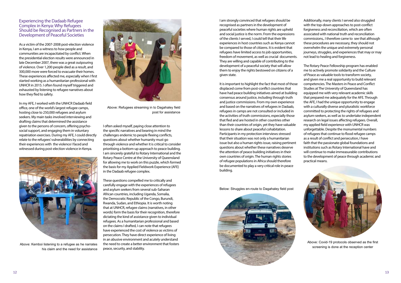#### Experiencing the Dadaab Refugee Complex in Kenya: Why Refugees Should be Recognised as Partners in the Development of Peaceful Societies

As a victim of the 2007-2008 post-election violence in Kenya, I am a witness to how people and communities are incapacitated by conflict. When the presidential election results were announced in late December 2007, there was a great outpouring of violence. Over 1,200 people died as a result, and 300,000 more were forced to evacuate their homes. These experiences affected me, especially when I first started working as a humanitarian professional with UNHCR in 2015. I often found myself triggered and exhausted by listening to refugee narratives about how they fled to safety.

In my AFE, I worked with the UNHCR Dadaab field office, one of the world's largest refugee camps, hosting close to 250,000 refugees and asylum seekers. My main tasks involved interviewing and drafting claims that determined the assistance given to the persons of concern, offering psychosocial support, and engaging them in voluntary repatriation exercises. During my AFE, I could directly relate to the refugees' vulnerabilities by connecting their experiences with the violence I faced and witnessed during post-election violence in Kenya.

I often asked myself, paying close attention to the specific narratives and bearing in mind the challenges endemic to people fleeing conflicts, questions about whether humanity must go through violence and whether it is critical to consider prioritising a bottom-up approach to peace building. I am sincerely grateful to Rotary International and the Rotary Peace Centre at the University of Queensland for allowing me to work on this puzzle, which formed the basis for my Applied Fieldwork Experience (AFE) in the Dadaab refugee complex.

These questions compelled me to critically and carefully engage with the experiences of refugees and asylum seekers from several sub-Saharan African countries, including Uganda, Somalia, the Democratic Republic of the Congo, Burundi, Rwanda, Sudan, and Ethiopia. It is worth noting that at UNHCR, refugee claims (narratives, in other words) form the basis for their recognition, therefore dictating the kind of assistance given to individual refugees. As a humanitarian professional and based on the claims I drafted, I can note that refugees have experienced the cost of violence as victims of persecution. They have direct experience of living in an abusive environment and acutely understand the need to create a better environment that fosters peace, security, and stability.



Above: Kemboi listening to a refugee as he narrates his claim and the need for assistance



Above: Refugees streaming in to Dagahaley field post for assistance

I am strongly convinced that refugees should be recognised as partners in the development of peaceful societies where human rights are upheld and social justice is the norm. From the expressions of the clients I served, I could tell that their life experiences in host countries such as Kenya cannot be compared to those of citizens. It is evident that refugees have limited access to job opportunities, freedom of movement, as well as crucial documents. They are willing and capable of contributing to the development of a peaceful society that will allow them to enjoy the rights bestowed on citizens of a given state.

It is important to highlight the fact that most of those displaced come from post-conflict countries that have had peace building initiatives aimed at building consensus around justice, including through truth and justice commissions. From my own experience and based on the narratives of refugees in Dadaab, refugees in camps are not consulted or included in the activities of truth commissions, especially those that fled and are hosted in other countries other than their countries of origin, yet they have valuable lessons to share about peaceful cohabitation. Participants in my protection interviews stressed that their situation was not only a humanitarian issue but also a human rights issue, raising pertinent questions about whether these narratives deserve the attention of peace building initiatives in their own countries of origin. The human rights stories of refugee populations in Africa should therefore be documented to play a very critical role in peace building.

Below: Struggles en-route to Dagahaley field post



Additionally, many clients I served also struggled with the top-down approaches to post-conflict forgiveness and reconciliation, which are often associated with national truth and reconciliation commissions,. I therefore came to see that although these procedures are necessary, they should not overwhelm the unique and extremely personal journeys, struggles, and experiences that may or may not lead to healing and forgiveness.

The Rotary Peace Fellowship program has enabled me to actively promote solidarity and the Culture of Peace as valuable tools to transform society, and given me a real opportunity to build relevant competencies. The Masters in Peace and Conflict Studies at The University of Queensland has equipped me with very relevant academic skills that prepared me adequately for the AFE. Through the AFE, I had the unique opportunity to engage with a culturally diverse and pluralistic workforce committed to protecting the rights of refugees and asylum-seekers, as well as to undertake independent research on legal issues affecting refugees. Overall, my applied field experience with UNHCR was unforgettable. Despite the monumental numbers of refugees that continue to flood refugee camps as a result of conflict and persecution, I have faith that the passionate global foundations and institutions such as Rotary International have and will continue to make immeasurable contributions to the development of peace through academic and practical means.



Above: Covid-19 protocols observed as the first screening is done at the reception center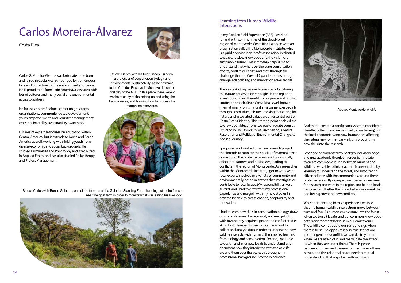Below: Carlos with his tutor Carlos Guindon, a professor of conservation biology and environmental sustainability, at the entrance to the Crandell Reserve in Monteverde, on the first day of the AFE. In this place there were 2 weeks of study of the setting-up and using the trap-cameras, and learning how to process the information afterwards.



### Carlos Moreira-Álvarez

Costa Rica



Carlos G. Moreira-Álvarez was fortunate to be born and raised in Costa Rica, surrounded by tremendous love and protection for the environment and peace. He is proud to be from Latin America, a vast area with lots of cultures and many social and environmental issues to address.

#### Learning from Human-Wildlife **Interactions**

He focuses his professional career on grassroots organizations, community-based development, youth empowerment, and volunteer management, cross-pollinated by sustainability awareness.

His area of expertise focuses on education within Central America, but it extends to North and South America as well, working with linking youth from diverse economic and social backgrounds. He studied Humanities and Philosophy and specialized in Applied Ethics, and has also studied Philanthropy and Project Management.

In my Applied Field Experience (AFE) I worked for and with communities of the cloud-forest region of Monteverde, Costa Rica. I worked with an organisation called the Monteverde Institute, which is a public service, non-profit association, dedicated to peace, justice, knowledge and the vision of a sustainable future. This internship helped me to understand that wherever there are conservation efforts, conflict will arise; and that, through the challenge that the Covid-19 pandemic has brought, change, adaptability, and innovation are essential.

The key task of my research consisted of analysing the nature preservation strategies in the region to assess how it could benefit from a peace and conflict studies approach. Since Costa Rica is well known internationally for its natural environment, especially through ecotourism, it is unsurprising that caring for nature and associated values are an essential part of Costa Ricans' identity. This starting point enabled me to draw upon ideas from two postgraduate courses I studied in The University of Queensland, Conflict Resolution and Politics of Environmental Change, to begin a journey.

I proposed and worked on a new research project that intends to monitor the species of mammals that come out of the protected areas, and occasionally affect local farmers and businesses, leading to conflicts in the region of Monteverde. As a researcher within the Monteverde Institute, I got to work with local experts involved in a variety of community and environmentally based initiatives that investigate or contribute to local issues. My responsibilities were several, and I had to draw from my professional experience and merge it with my new studies in order to be able to create change, adaptability and innovation.

I had to learn new skills in conservation biology, draw on my professional background, and merge both with my recently acquired peace and conflict studies skills. First, I learned to use trap cameras and to collect and analyse data in order to understand how wildlife interacts with humans; this implied learning from biology and conservation. Second, I was able to design and interview locals to understand and document how they interacted with the wildlife around them over the years; this brought my professional background into the experience.

And third, I created a conflict analysis that considered the effects that these animals had (or are having) on the local economies, and how humans are affecting the natural environment as well; this brought my new skills into the research.

I changed and adapted my background knowledge and new academic theories in order to innovate to create common ground between humans and wildlife. I was able to link peace and conservation by learning to understand the forest, and by fostering citizen science with the communities around these protected areas. By doing so, we opened a new area for research and work in the region and helped locals to understand better the protected environment that had been generating new conflicts.

Whilst participating in this experience, I realised that the human-wildlife interactions move between trust and fear. As humans we venture into the forest when we trust it is safe, and our common knowledge of this environment helps us in our endeavours. The wildlife comes out to our surroundings when there is trust. The opposite is also true: fear of one another generates conflict; we can destroy nature when we are afraid of it, and the wildlife can attack us when they are under threat. There is peace between humans and the environment where there is trust, and this relational peace needs a mutual understanding that is spoken without words.



Above: Monteverde wildlife

Below: Carlos with Benito Guindon, one of the farmers at the Guindon-Standing Farm, heading out to the forests near the goat farm in order to monitor what was eating his livestock.

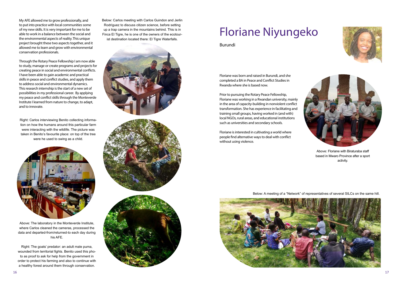

My AFE allowed me to grow professionally, and to put into practice with local communities some of my new skills. It is very important for me to be able to work in a balance between the social and the environmental aspects of reality. This unique project brought these two aspects together, and it allowed me to learn and grow with environmental conservation professionals.

Through the Rotary Peace Fellowship I am now able to study, manage or create programs and projects for creating peace in social and environmental conflicts. I have been able to gain academic and practical skills in peace and conflict studies, and apply them to address social and environmental dynamics. This research internship is the start of a new set of possibilities in my professional career. By applying my peace and conflict skills through the Monteverde Institute I learned from nature to change, to adapt, and to innovate.

### Floriane Niyungeko

#### Burundi

Floriane was born and raised in Burundi, and she completed a BA in Peace and Conflict Studies in Rwanda where she is based now.

Prior to pursuing the Rotary Peace Fellowship, Floriane was working in a Rwandan university, mainly in the area of capacity-building in nonviolent conflict transformation. She has experience in facilitating and training small groups, having worked in (and with) local NGOs, rural areas, and educational institutions such as universities and secondary schools.

Floriane is interested in cultivating a world where people find alternative ways to deal with conflict without using violence.

Below: A meeting of a "Network" of representatives of several SILCs on the same hill.







Right: Carlos interviewing Benito collecting information on how the humans around this particular farm were interacting with the wildlife. The picture was taken in Benito's favourite place: on top of the tree were he used to swing as a child.



Below: Carlos meeting with Carlos Guindon and Jerlin Rodríguez to discuss citizen science, before setting up a trap camera in the mountains behind. This is in Finca El Tigre, he is one of the owners of the ecotourist destination located there: El Tigre Waterfalls.





Above: The laboratory in the Monteverde Institute, where Carlos cleaned the cameras, processed the data and departed-from/returned-to each day during his AFE.

Right: The goats' predator: an adult male puma, wounded from territorial fights. Benito used this photo as proof to ask for help from the government in order to protect his farming and also to continue with a healthy forest around them through conservation.

Above: Floriane with Biraturaba staff based in Mwaro Province after a sport activity.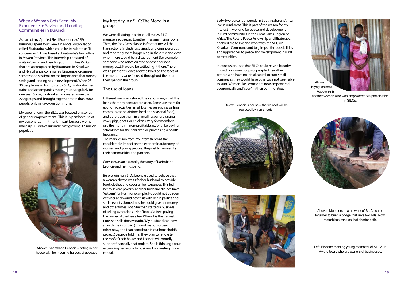#### When a Woman Gets Seen: My Experience in Saving and Lending Communities in Burundi

As part of my Applied Field Experience (AFE) in Burundi, I spent four weeks in a local organisation called Biraturaba (which could be translated as "It concerns us"). I was based at Biraturaba's field office in Mwaro Province. This internship consisted of visits in Saving and Lending Communities (SILCs) that are accompanied by Biraturaba in Kayokwe and Nyabihanga communes. Biraturaba organizes sensitization sessions on the importance that money saving and lending has in development. When 25 – 30 people are willing to start a SILC, Biraturaba then trains and accompanies those groups, regularly for one year. So far, Biraturaba has created more than 220 groups and brought together more than 5000 people, only in Kayokwe Commune.

My experience in the SILCs was focused on stories of gender empowerment. This is in part because of my personal commitment, in part because women make up 50.38% of Burundi's fast growing 12-million population.

#### My first day in a SILC: The Mood in a group

We were all sitting in a circle - all the 25 SILC members squeezed together in a small living room. Then, the "box" was placed in front of me. All the transactions (including saving, borrowing, penalties, and reporting) were happening in the circle and even when there would be a disagreement (for example, someone who miscalculated another person's money, etc.), it would be settled right there. There was a pleasant silence and the looks on the faces of the members were focused throughout the hour they spent in the group.

#### The use of loans

Different members shared the various ways that the loans that they contract are used. Some use them for economic activities; small businesses such as selling communication airtime, local and seasonal food), and others use them in animal husbandry raising cows, pigs, goats, or chickens. Very few members use the money in non-profitable actions like paying school fees for their children or purchasing a health insurance.

The main lesson from my internship was the considerable impact on the economic autonomy of women and young people. They get to be seen by their communities and partners.

Consider, as an example, the story of Karimbane Leoncie and her husband.

Before joining a SILC, Leoncie used to believe that a woman always waits for her husband to provide food, clothes and cover all her expenses. This led her to severe poverty and her husband did not have "esteem" for her – for example, he could not be seen with her and would never sit with her in parties and social events. Sometimes, he could give her money and other times not. She then started a business of selling avocadoes – she "books" a tree, paying the owner of the tree a fee. When it is the harvest time, she sells ripe avocado. "My husband can now sit with me in public. (…) and we consult each other now, and I can contribute in our household's project", Leoncie told me. They plan to renovate the roof of their house and Leoncie will proudly support financially that project. She is thinking about expanding her avocado business by investing more capital.



Above: Karimbane Leoncie – sitting in her house with her ripening harvest of avocado

Sixty-two percent of people in South-Saharan Africa live in rural areas. This is part of the reason for my interest in working for peace and development in rural communities in the Great Lakes Region of Africa. The Rotary Peace Fellowship and Biraturaba enabled me to live and work with the SILCs in Kayokwe Commune and to glimpse the possibilities and approaches to peace and development in rural communities.

In conclusion, I see that SILCs could have a broader impact on some groups of people. They allow people who have no initial capital to start small businesses they would have otherwise not been able to start. Women like Leoncie are now empowered economically and "seen" in their communities.

> Above: Members of a network of SILCs came together to build a bridge that links two hills. Now, motorbikes can use that shorter path.

Left: Floriane meeting young members of SILCS in Mwaro town, who are owners of businesses.



another woman who was empowered via participation in SILCs.



Below: Leoncie's house – the tile roof will be replaced by iron sheets.



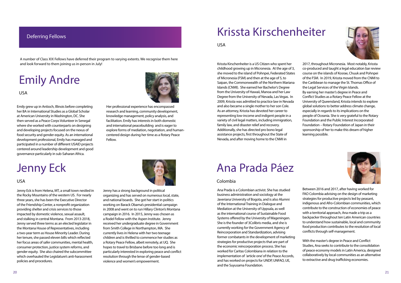A number of Class XIX Fellows have deferred their program to varying extents. We recognise them here and look forward to them joining us in-person in July!

### Deferring Fellows

### Emily Andre



USA

Emily grew up in Antioch, Illinois before completing her BA in International Studies as a Global Scholar at American University in Washington, DC. She then served as a Peace Corps Volunteer in Senegal where she worked with counterparts on designing and developing projects focused on the nexus of food security and gender equity. As an international development professional, Emily has managed and participated in a number of different USAID projects centered around leadership development and good governance particularly in sub-Saharan Africa.

Her professional experience has encompassed research and learning, community development, knowledge management, policy analysis, and facilitation. Emily has interests in both domestic and international peacebuilding and is eager to explore forms of mediation, negotiation, and humancentered design during her time as a Rotary Peace Fellow.

### Jenny Eck



### USA

Jenny Eck is from Helena, MT, a small town nestled in the Rocky Mountains of the western US. For nearly three years, she has been the Executive Director of the Friendship Center, a nonprofit organization providing shelter and crisis services to those impacted by domestic violence, sexual assault, and stalking in central Montana. From 2013-2018, Jenny served three terms as an elected legislator in the Montana House of Representatives, including a two-year term as House Minority Leader. During her tenure, she passed eleven bills which reflected her focus areas of safer communities, mental health, consumer protection, justice system reforms, and gender equity. She also chaired the subcommittee which overhauled the Legislature's anti-harassment policies and procedures.

Jenny has a strong background in political organizing and has served on numerous local, state, and national boards. She got her start in politics working on Barack Obama's presidential campaign in 2008 and went on to run Hillary Clinton's Montana campaign in 2016. In 2015, Jenny was chosen as a Rodel Fellow with the Aspen Institute. Jenny received her undergraduate degree in Government from Smith College in Northampton, MA. She currently lives in Helena with her two teenage children and is thrilled to commence her studies as a Rotary Peace Fellow, albeit remotely, at UQ. She hopes to travel to Brisbane before too long and is particularly interested in exploring peace and conflict resolution through the lense of gender-based violence and women's empowerment.

### Krissta Kirschenheiter

#### USA

Krissta Kirschenheiter is a US Citizen who spent her childhood growing up in Micronesia. At the age of 3, she moved to the island of Pohnpei, Federated States of Micronesia (FSM) and then at the age of 5, to Saipan, the Commonwealth of the Northern Mariana Islands (CNMI). She earned her Bachelor's Degree from the University of Hawaii, Manoa and her Law Degree from the University of Nevada, Las Vegas. In 2009, Krissta was admitted to practice law in Nevada and also became a single mother to her son Cole. As an attorney, Krissta has devoted her career to representing low-income and indigent people in a variety of civil legal matters, including immigration, family law, and disaster relief and recovery. Additionally, she has directed pro bono legal assistance projects, first throughout the State of Nevada, and after moving home to the CNMI in

2017, throughout Micronesia. Most notably, Krissta co-produced and taught a legal education bar review course on the islands of Kosrae, Chuuk and Pohnpei of the FSM. In 2019, Krissta moved from the CNMI to the Caribbean to manage the St. Thomas Office of the Legal Services of the Virgin Islands. By earning her master's degree in Peace and Conflict Studies as a Rotary Peace Fellow at the University of Queensland, Krissta intends to explore global solutions to better address climate change, especially in regards to its implications on the people of Oceania. She is very grateful to the Rotary Foundation and the Public Interest Incorporated Foundation – Rotary Foundation of Japan in their sponsorship of her to make this dream of higher learning possible.



Ana Prada Páez

#### Colombia

Ana Prada is a Colombian activist. She has studied business administration and sociology at the Javeriana University of Bogota, and is also Alumni of the International Training in Dialogue and Mediation at the University of Uppsala, as well as the international course of Sustainable Food Systems offered by the University of Wageningen. She is the founder of 3Colibris media, and she is currently working for the Government Agency of Reincorporation and Standardization, advising former combatants in the development of marketing strategies for productive projects that are part of the economic reincorporation process. She has worked for Caritas Colombiana in relation to the implementation of 'article one' of the Peace Accords, and has worked on projects for UNDP, UNFAO, UE, and the Suyusama Foundation.



Between 2016 and 2017, after having worked for FAO Colombia advising on the design of marketing strategies for productive projects led by peasant, indigenous and Afro-Colombian communities, which contribute to the construction of economies of peace with a territorial approach, Ana made a trip as a backpacker throughout ten Latin American countries to understand how sustainable, local and community food production contributes to the resolution of local conflicts through self-management.

With the master's degree in Peace and Conflict Studies, Ana seeks to contribute to the consolidation of peace economy models in Latin America, designed collaboratively by local communities as an alternative to extractive and drug trafficking economies.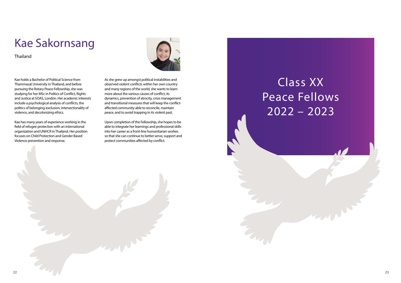## Class XX Peace Fellows 2022 – 2023

### Kae Sakornsang

Thailand

Kae holds a Bachelor of Political Science from Thammasat University in Thailand, and before pursuing the Rotary Peace Fellowship, she was studying for her MSc in Politics of Conflict, Rights and Justice at SOAS, London. Her academic interests include a psychological analysis of conflicts, the politics of belonging-exclusion, intersectionality of violence, and decolonizing ethics.

Kae has many years of experience working in the field of refugee protection with an international organization and UNHCR in Thailand. Her position focuses on Child Protection and Gender Based Violence prevention and response.



As she grew up amongst political instabilities and observed violent conflicts within her own country and many regions of the world, she wants to learn more about the various causes of conflict, its dynamics, prevention of atrocity, crisis management and transitional measures that will keep the conflictaffected community able to reconcile, maintain peace, and to avoid trapping in its violent past.

Upon completion of the Fellowship, she hopes to be able to integrate her learnings and professional skills into her career as a front-line humanitarian worker, so that she can continue to better serve, support and protect communities affected by conflict.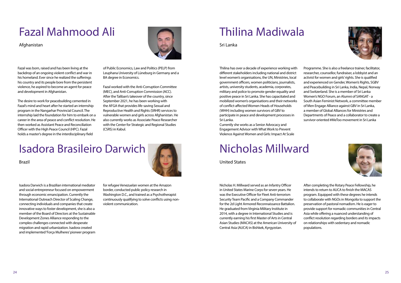

### Fazal Mahmood Ali

Afghanistan

Fazal was born, raised and has been living at the backdrop of an ongoing violent conflict and war in his homeland. Ever since he realized the sufferings his country and its people bore from the persistent violence, he aspired to become an agent for peace and development in Afghanistan.

The desire to work for peacebuilding cemented in Fazal's mind and heart after he started an internship program in the Nangarhar Provincial Council. The internship laid the foundation for him to embark on a career in the area of peace and conflict resolution. He then worked as Assistant Peace and Reconciliation Officer with the High Peace Council (HPC). Fazal holds a master's degree in the interdisciplinary field



of Public Economics, Law and Politics (PELP) from Leuphana University of Lüneburg in Germany and a BA degree in Economics.

Fazal worked with the Anti-Corruption Committee (MEC), and Anti-Corruption Commission (ACC). After the Taliban's takeover of the country, since September 2021, he has been working with the AFGA that provides life-saving Sexual and Reproductive Health and Rights (SRHR) services to vulnerable women and girls across Afghanistan. He also currently works as Associate Peace Researcher with the Center for Strategic and Regional Studies (CSRS) in Kabul.

### Isadora Brasileiro Darwich

Brazil

Isadora Darwich is a Brazilian international mediator and social entrepreneur focused on empowerment through economic emancipation. Currently the International Outreach Director of Scaling Change, connecting individuals and companies that create innovative ways to foster development, she is also a member of the Board of Directors at the Sustainable Development Zones Alliance responding to the complex challenges connected with desperate migration and rapid urbanization. Isadora created and implemented 'Força Mulheres' pioneer program

for refugee Venezuelan women at the Amazon border, conducted public policy research in Washington D.C., and trained as a Psychotherapist continuously qualifying to solve conflicts using nonviolent communication.

### Thilina Madiwala

Sri Lanka

Thilina has over a decade of experience working with different stakeholders including national and district level women's organisations, the UN, Ministries, local government officers, women politicians, journalists, artists, university students, academia, corporates, military and police to promote gender equality and positive peace in Sri Lanka. She has capacitated and mobilized women's organisations and their networks of conflict-affected Women Heads of Households (WHH) including women survivors of GBV to participate in peace and development processes in Sri Lanka.

Currently she works as a Senior Advocacy and Engagement Advisor with What Work to Prevent Violence Against Women and Girls: Impact At Scale Programme. She is also a freelance trainer, facilitator, researcher, counsellor, fundraiser, a lobbyist and an activist for women and girls' rights. She is qualified and experienced on Gender, Women's Rights, SGBV and Peacebuilding in Sri Lanka, India, Nepal, Norway and Switzerland. She is a member of Sri Lanka Women's NGO Forum, an Alumni of SANGAT - a South Asian Feminist Network, a committee member of Men Engage Alliance against GBV in Sri Lanka, a member of Global Alliances for Ministries and Departments of Peace and a collaborator to create a survivor-oriented #MeToo movement in Sri Lanka





### Nicholas Millward

United States

Nicholas H. Millward served as an Infantry Officer in United States Marine Corps for seven years. He was the Executive Officer for Fleet Anti-terrorism Security Team Pacific and a Company Commander for the 2d Light Armored Reconnaissance Battalion. He graduated from Virginia Military Institute in 2014, with a degree in International Studies and is currently earning his first Master of Arts in Central Asian Studies (MACAS) at the American University of Central Asia (AUCA) in Bishkek, Kyrgyzstan.

After completing the Rotary Peace Fellowship, he intends to return to AUCA to finish the MACAS program. Equipped with these degrees he intends to collaborate with NGOs in Mongolia to support the preservation of pastoral nomadism. He is eager to provide support for nomadic communities in Central Asia while offering a nuanced understanding of conflict resolution regarding borders and its impacts on relationships with sedentary and nomadic populations.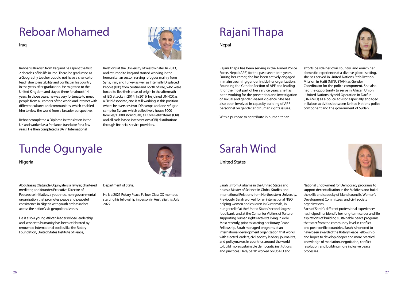

### Reboar Mohamed

Iraq

Reboar is Kurdish from Iraq and has spent the first 2 decades of his life in Iraq. There, he graduated as a Geography teacher but did not have a chance to teach due to instability and conflict in his country in the years after graduation. He migrated to the United Kingdom and stayed there for almost 14 years. In those years, he was very fortunate to meet people from all corners of the world and interact with different cultures and communities, which enabled him to view the world from a broader perspective.

Reboar completed a Diploma in translation in the UK and worked as a freelance translator for a few years. He then completed a BA in International



Relations at the University of Westminster. In 2013, and returned to Iraq and started working in the humanitarian sector, serving refugees mainly from Syria, Iran, and Turkey as well as Internally Displaced People (IDP) from central and north of Iraq, who were forced to flee their areas of origin in the aftermath of ISIS attacks in 2014. In 2016, he joined UNHCR as a Field Associate, and is still working in this position where he oversees two IDP camps and one refugee camp for Syrians which collectively house 3000 families/15000 individuals, all Core Relief Items (CRI), and all cash-based interventions (CBI) distributions through financial service providers.

### Tunde Ogunyale

Nigeria

Abdulrasaq Olatunde Ogunyale is a lawyer, chartered mediator, and founder/Executive Director of Peacepace Initiative, a youth-led, non-governmental organization that promotes peace and peaceful coexistence in Nigeria with youth ambassadors across the nation's six geopolitical zones.

He is also a young African leader whose leadership and service to humanity has been celebrated by renowned International bodies like the Rotary Foundation, United States Institute of Peace,

Department of State.

He is a 2021 Rotary Peace Fellow, Class XX member, starting his fellowship in person in Australia this July 2022



### Rajani Thapa

**Nepal** 

Rajani Thapa has been serving in the Armed Police Force, Nepal (APF) for the past seventeen years. During her career, she has been actively engaged in mainstreaming gender inside her organization. Founding the Gender Section of APF and leading it for the most part of her service years, she has been working for the prevention and investigation of sexual and gender -based violence. She has also been involved in capacity building of APF personnel on gender and human rights issues.

With a purpose to contribute in humanitarian

efforts beside her own country, and enrich her domestic experience at a diverse global setting, she has served in United Nations Stabilization Mission in Haiti (MINUSTAH) as Gender Coordinator for the police component. She also had the opportunity to serve in African Union - United Nations Hybrid Operation in Darfur (UNAMID) as a police advisor especially engaged in liaison activities between United Nations police component and the government of Sudan.



Sarah Wind

United States

Sarah is from Alabama in the United States and

holds a Master of Science in Global Studies and International Relations from Northeastern University. Previously, Sarah worked for an international NGO helping women and children in Guatemala, in hunger relief at the United States' second-largest food bank, and at the Center for Victims of Torture supporting human rights activists living in exile. Most recently, prior to starting her Rotary Peace Fellowship, Sarah managed programs at an international development organization that works with elected leaders, civil society leaders, journalists, and policymakers in countries around the world to build more sustainable democratic institutions and practices. Here, Sarah worked on USAID and

National Endowment for Democracy programs to support decentralization in the Maldives and build the skills and capacity of island councils, Women's Development Committees, and civil society organizations.

Each of Sarah's different professional experiences has helped her identify her long-term career and life aspirations of building sustainable peace programs that start from the community level in conflict and post-conflict countries. Sarah is honored to have been awarded the Rotary Peace Fellowship and hopes to develop deeper and more practical knowledge of mediation, negotiation, conflict resolution, and building more inclusive peace processes.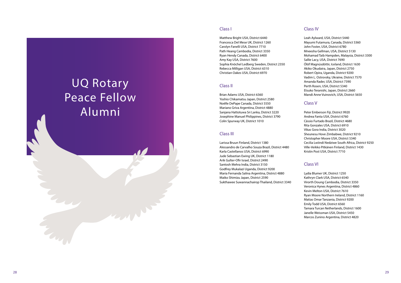### UQ Rotary Peace Fellow Alumni

#### Class I

Matthew Bright USA, District 6440 Francesca Del Mese UK, District 1260 Carolyn Fanelli USA, District 7710 Path Heang Cambodia, District 3350 Ryan Hendy Canada, District 6400 Amy Kay USA, District 7600 Sophia Knöchel Ledberg Sweden, District 2350 Rebecca Milligan USA, District 6310 Christian Oakes USA, District 6970

#### Class II

Brian Adams USA, District 6360 Yoshio Chikamatsu Japan, District 2580 Noëlle DePape Canada, District 5550 Mariano Griva Argentina, District 4880 Sanjana Hattotuwa Sri Lanka, District 3220 Josephine Manuel Philippines, District 3790 Colin Spurway UK, District 1010

#### Class III

Larissa Bruun Finland, District 1380 Alessandro de Carvalho Souza Brazil, District 4480 Karla Castellanos USA, District 6990 Jude Sebastian Ewing UK, District 1180 Arik Gulter-Ofir Israel, District 2490 Santosh Mehra India, District 3150 Godfrey Mukalazi Uganda, District 9200 Maria Fernanda Salina Argentina, District 4880 Maiko Shimizu Japan, District 2590 Sukthawee Suwannachairop Thailand, District 3340

### Class IV

Leah Aylward, USA, District 5440 Mayumi Futamura, Canada, District 5360 John Foster, USA, District 6780 Mneesha Gellman, USA, District 5130 Mohamad Taib Hampden, Malaysia, District 3300 Sallie Lacy, USA, District 7690 Ólöf Magnúsdóttir, Iceland, District 1630 Akiko Okudaira, Japan, District 2750 Robert Opira, Uganda, District 9200 Vadim L. Ostrovsky, Ukraine, District 7570 Amanda Rader, USA, District 7390 Perth Rosen, USA, District 5340 Etsuko Teranishi, Japan, District 2660 Mandi Anne Vuinovich, USA, District 5650

### Class V

Peter Emberson Fiji, District 9920 Andrea Fanta USA, District 6760 Cássio Furtado Brazil, District 4680 Rita Gonzales USA, District 6910 Vikas Gora India, District 3020 Sheunesu Hove Zimbabwe, District 9210 Christopher Moore USA, District 5340 Cecilia Lwiindi Nedziwe South Africa, District 9250 Ville-Veikko Pitkänen Finland, District 1430 Kristin Post USA, District 7710

### Class VI

Lydia Blumer UK, District 1250 Kathryn Clark USA, District 6540 Virorth Doung Cambodia, District 3350 Veronica Hynes Argentina, District 4860 Kevin Melton USA, District 7610 Ryan Moore Northern Ireland, District 1160 Matias Omar Tanzania, District 9200 Emily Todd USA, District 6560 Tamara Turcan Netherlands, District 1600 Janelle Weissman USA, District 5450 Marcos Zunino Argentina, District 4820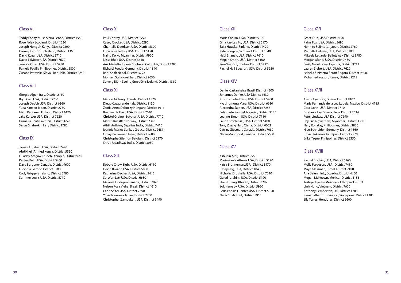#### Class VII

Teddy Foday-Musa Sierra Leone, District 1550 Rose Foley Scotland, District 1230 Joseph Hongoh Kenya, District 9200 Fanney Karlsdottir Iceland, District 1360 David Kozar USA, District 5710 David LaMotte USA, District 7670 Jeneice Olsen USA, District 5950 Pamela Padilla Phillippines, District 3800 Zuzana Petovska Slovak Republic, District 2240

#### Class VIII

Giorgio Algeri Italy, District 2110 Bryn Cain USA, District 5750 Joseph DeVoir USA, District 6360 Yuka Kaneko Japan, District 2750 Matti Karvanen Finland, District 1420 Jake Kurtzer USA, District 7620 Humaira Shafi Pakistan, District 3270 Sanaz Shahrokni Iran, District 1780

#### Class IX

James Abraham USA, District 7490 Abdikheir Ahmed Kenya, District 5550 Luladay Aragaw Truneh Ethiopia, District 9200 Pantea Beigi USA, District 5450 Dave Burgener Canada, District 9600 Lucindia Garrido District 9780 Cody Griggers Ireland, District 5790 Summer Lewis USA, District 5710

#### Class X

Paul Conroy USA, District 5950 Casey Crocket USA, District 6290 Chantelle Doerksen USA, District 5300 Erica Rose Jeffrey USA, District 5150 Naing Ko Ko Myanmar, District 9920 Nissa Rhee USA, District 3650 Ana Maria Rodriguez Contreras Colombia, District 4290 Richard Roeder Germany, District 1840 Rabi Shah Nepal, District 3292 Mohsen Solhdoost Iran, District 9630 Solveig Björk Sveinbjörnsdóttir Iceland, District 1360

#### Class XI

Marion Akiteng Uganda, District 1570 Diego Casagrande Italy, District 1130 Zsofia Anna Daboczy Hungary, District 1911 Bremen de Haan USA, District 7640 Christel Greiner Butchart USA, District 7710 Marius Koestler Norway, District 2310 Athili Anthony Sapriina India, District 7410 Ioannis Marios Sarikas Greece, District 2481 Omayma Sawaed Israel, District 9600 Christophe Stiernon Belgium, District 2170 Shruti Upadhyay India, District 3050

#### Class XII

Bobbie Chew Bigby USA, District 6110 Devin Biviano USA, District 5080 Katharina Dechert USA, District 5440 Sai Won Latt USA, District 6630 Melanie Lindayen Canada, District 7070 Nelson Rosa Vieira, Brazil, District 4610 Carlo Salter USA, District 7690 Yoko Takazawa Japan, District 2750 Christopher Zambakari, USA, District 5490

#### Class XIII

Maria Caruso, USA, District 5100 Gina Kar-Lay Fu, USA, District 5170 Saila Huusko, Finland, District 1420 Kate Rougvie, Scotland, District 1040 Nabi Shanak, USA, District 7610 Megan Smith, USA, District 5100 Pem Wangdi, Bhutan, District 3292 Rachel Hall Beecroft, USA, District 5950

#### Class XIV

Daniel Castanheira, Brasil, District 4500 Johannes Dehler, USA District 6630 Kristina Sintia Dewi, USA, District 5960 Kyasingmong Mara, USA, District 6630 Alexandra Sajben, USA, District 7255 Folashade Samuel, Nigeria , District 9125 Leanne Simon, USA, District 7710 Laurie Smolenski, USA, District 6400 Tony Zhang Han, China, District 0052 Catrina Ziesman, Canada, District 7080 Nadia Mahmood, Canada, District 5550

### Class XV

Ashuein Alor, District 5550 Marie-Paule Attema USA, District 5170 Katsa Brenneman,USA, District 5470 Casey Dilg, USA, District 1040 Nicholas Drushella, USA, District 7610 Guled Ibrahim, USA, District 5100 Shen Huang, Bhutan, District 3292 Sok Heng Ly, USA, District 5950 Perla Padilla Fuentes USA, District 5950 Nadir Shah, USA, District 5950

### Class XVI

Grace Dun, USA District 7190 Raina Fox, USA, District 5690 Norihiro Fujimoto, japan, District 2760 Michelle Helman, USA, District 5100 Mikaela Lagarde, Balintawak District 3780 Morgan Marks, USA, District 7430 Emily Nabakooza, Uganda, District 9211 Lauren Siebert, USA, District 7620 Isabella Sinisterra Beron Bogota, District 9600 Mohamed Yussuf , Kenya, District 9212

### Class XVII

Alexis Ayamdor, Ghana, District 9102 Maria Fernanda de la Luz Ludela, Mexico, District 4185 Cora Lavin USA, District 7710 Estefania Lay Guerra, Peru, District 7634 Peter Lindsay, USA District 7690 Phyusin Ngwethaw, Myanmar, District 3350 Nery Ronatay, Philippines, District 3820 Nico Schneider, Germany, District 1860 Chiaki Takenouchi, Japan, District 2770 Erika Yague, Philippines, District 3350

### Class XVIII

Rachel Buchan, USA, District 6860 Molly Ferguson, USA, District 7430 Maya Glassman, Israel, District 2490 Ana Belén Harb, Ecuador, District 4400 Megan McKeown, Mexico, District 4185 Tesfaye Ayalew Mekonen, Ethiopia, District Linh Nong, Vietnam, District 7620 Anthony Pemberton, UK, District 1285 Ramanathan Thurairajoo, Singapore, District 1285 Elly Torres, Honduras, District 9600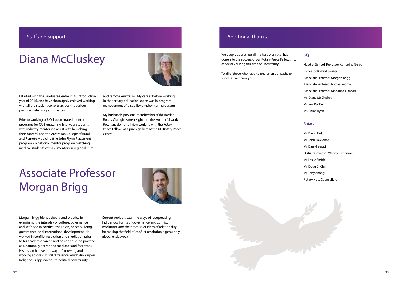

### Diana McCluskey



I started with the Graduate Centre in its introduction year of 2016, and have thoroughly enjoyed working with all the student cohorts across the various postgraduate programs we run.

Prior to working at UQ, I coordinated mentor programs for QUT (matching final year students with industry mentors to assist with launching their careers) and the Australian College of Rural and Remote Medicine (the John Flynn Placement program – a national mentor program matching medical students with GP mentors in regional, rural and remote Australia). My career before working in the tertiary education space was in program management of disability employment programs.

My husband's previous membership of the Bardon Rotary Club gives me insight into the wonderful work Rotarians do – and I view working with the Rotary Peace Fellows as a privilege here at the UQ Rotary Peace Centre.

### Associate Professor Morgan Brigg

Morgan Brigg blends theory and practice in examining the interplay of culture, governance and selfhood in conflict resolution, peacebuilding, governance, and international development. He worked in conflict resolution and mediation prior to his academic career, and he continues to practice as a nationally accredited mediator and facilitator. His research develops ways of knowing and working across cultural difference which draw upon Indigenous approaches to political community.



Current projects examine ways of recuperating Indigenous forms of governance and conflict resolution, and the promise of ideas of relationality for making the field of conflict resolution a genuinely global endeavour.

### Staff and support

We deeply appreciate all the hard work that has gone into the success of our Rotary Peace Fellowship, especially during this time of uncertainty.

To all of those who have helped us on our paths to success - we thank you.

#### UQ

Head of School, Professor Katharine Gelber Professor Roland Bleiker Associate Professor Morgan Brigg Associate Professor Nicole George Associate Professor Marianne Hanson Ms Diana McCluskey Ms Ros Roche Ms Chloe Ryan

#### Rotary

Mr David Field Mr John Lawrence Mr Darryl Iseppi District Governor Wendy Protheroe Mr Leslie Smith Mr Doug St Clair Mr Tony Zhang Rotary Host Counsellors

### Additional thanks